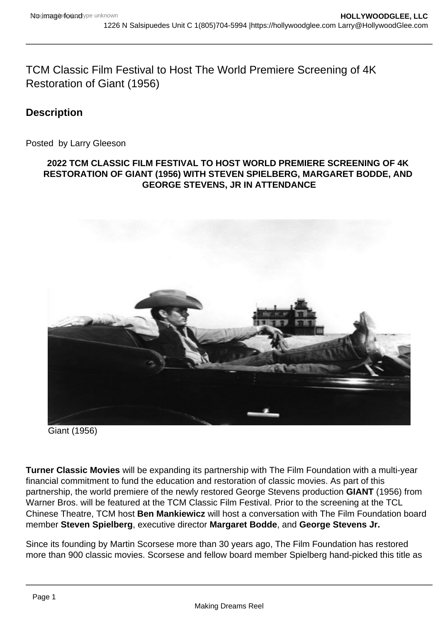TCM Classic Film Festival to Host The World Premiere Screening of 4K Restoration of Giant (1956)

**Description** 

Posted by Larry Gleeson

## 2022 TCM CLASSIC FILM FESTIVAL TO HOST WORLD PREMIERE SCREENING OF 4K RESTORATION OF GIANT (1956) WITH STEVEN SPIELBERG, MARGARET BODDE, AND GEORGE STEVENS, JR IN ATTENDANCE

Giant (1956)

Turner Classic Movies will be expanding its partnership with The Film Foundation with a multi-year financial commitment to fund the education and restoration of classic movies. As part of this partnership, the world premiere of the newly restored George Stevens production GIANT (1956) from Warner Bros. will be featured at the TCM Classic Film Festival. Prior to the screening at the TCL Chinese Theatre, TCM host Ben Mankiewicz will host a conversation with The Film Foundation board member Steven Spielberg , executive director Margaret Bodde , and George Stevens Jr.

Since its founding by Martin Scorsese more than 30 years ago, The Film Foundation has restored more than 900 classic movies. Scorsese and fellow board member Spielberg hand-picked this title as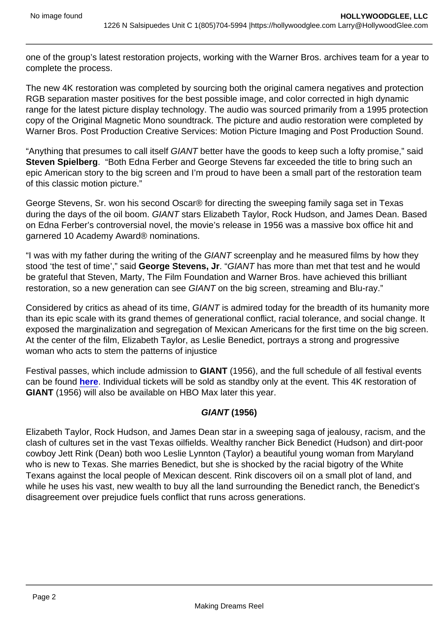one of the group's latest restoration projects, working with the Warner Bros. archives team for a year to complete the process.

The new 4K restoration was completed by sourcing both the original camera negatives and protection RGB separation master positives for the best possible image, and color corrected in high dynamic range for the latest picture display technology. The audio was sourced primarily from a 1995 protection copy of the Original Magnetic Mono soundtrack. The picture and audio restoration were completed by Warner Bros. Post Production Creative Services: Motion Picture Imaging and Post Production Sound.

"Anything that presumes to call itself GIANT better have the goods to keep such a lofty promise," said Steven Spielberg . "Both Edna Ferber and George Stevens far exceeded the title to bring such an epic American story to the big screen and I'm proud to have been a small part of the restoration team of this classic motion picture."

George Stevens, Sr. won his second Oscar® for directing the sweeping family saga set in Texas during the days of the oil boom. GIANT stars Elizabeth Taylor, Rock Hudson, and James Dean. Based on Edna Ferber's controversial novel, the movie's release in 1956 was a massive box office hit and garnered 10 Academy Award® nominations.

"I was with my father during the writing of the GIANT screenplay and he measured films by how they stood 'the test of time'," said George Stevens, Jr . "GIANT has more than met that test and he would be grateful that Steven, Marty, The Film Foundation and Warner Bros. have achieved this brilliant restoration, so a new generation can see GIANT on the big screen, streaming and Blu-ray."

Considered by critics as ahead of its time, GIANT is admired today for the breadth of its humanity more than its epic scale with its grand themes of generational conflict, racial tolerance, and social change. It exposed the marginalization and segregation of Mexican Americans for the first time on the big screen. At the center of the film, Elizabeth Taylor, as Leslie Benedict, portrays a strong and progressive woman who acts to stem the patterns of injustice

Festival passes, which include admission to GIANT (1956), and the full schedule of all festival events can be found [here](https://ablink.updates.tcm.com/ls/click?upn=NeedwliYOojRBfvGpvQQwXizImqHfoaWeGy0aqWfyfnP3Mq2tdw-2Fc9XqbEgY8jPnHwbU_rSYIg1fouQWMEFcAes1Vbr7p6mfw28Zl-2B4LhgVN4nXMyo-2FtD5UL-2FGWfoopk27aeqhAuLMxBQlkaZekeuFhxgbCk6vjJ7irAiQZBevXpNT3ejAv8ybtrI80Gi3qbQS-2BRHnvvlpe0IGSDYg3SQnSqN4myRWbbqeDv0ST5T3xRT1R6FgcR9AuHkXMwxKBCn4tUJYKYvmr3kgtwSyhuM9BsiGxlMRGvIcidAfThxzYyvr-2BavCGYc1B5WUY3hUwy-2BPTihwld1Qc8GPsAFAHQblWYUfpEiW0-2BOgvIIOWbtBu6LGwX7AdRpuLl3XWMat-2FuYPcim3NJrnYA8xcQIiAruA6IJd48LS0toW9h6rliNEYi1TG0-2Bov4n63typoORNlULW4czM-2BZgz5utFbE9XcLlfMU8CcObSjYQunTse6qa8-2BkcRlmj-2FctKElh3tKw7SUrReuLPvfJwMWeHfuYqnpG1soec5-2BbwUuL738fq1anoKtJaHMJ-2Bw-2FGwdPFzTH18gKvbbg6n6tEr-2BUcYtm5waCR4AaYLdz9eZEKcexXyebHYHCugU-2BCHmlRWy7r-2BbynEQDXItOOth8PO5HhFrRuZYS-2B0TA2pHEg4Zsvcj4bNCNlgLgoFFjmqL69pU3dCDGlmL-2Bfd51kOIH-2F79lZUEONj003BdzPWwUGt-2Bnt19LUSvRShLe10fw0-3D). Individual tickets will be sold as standby only at the event. This 4K restoration of GIANT (1956) will also be available on HBO Max later this year.

## GIANT (1956)

Elizabeth Taylor, Rock Hudson, and James Dean star in a sweeping saga of jealousy, racism, and the clash of cultures set in the vast Texas oilfields. Wealthy rancher Bick Benedict (Hudson) and dirt-poor cowboy Jett Rink (Dean) both woo Leslie Lynnton (Taylor) a beautiful young woman from Maryland who is new to Texas. She marries Benedict, but she is shocked by the racial bigotry of the White Texans against the local people of Mexican descent. Rink discovers oil on a small plot of land, and while he uses his vast, new wealth to buy all the land surrounding the Benedict ranch, the Benedict's disagreement over prejudice fuels conflict that runs across generations.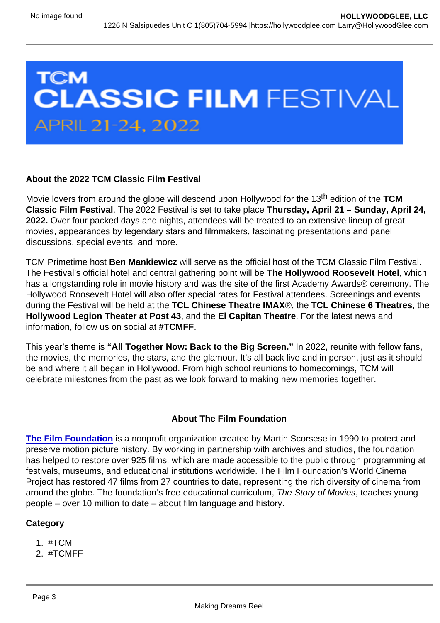## About the 2022 TCM Classic Film Festival

Movie lovers from around the globe will descend upon Hollywood for the 13<sup>th</sup> edition of the TCM Classic Film Festival . The 2022 Festival is set to take place Thursday, April 21 – Sunday, April 24, 2022. Over four packed days and nights, attendees will be treated to an extensive lineup of great movies, appearances by legendary stars and filmmakers, fascinating presentations and panel discussions, special events, and more.

TCM Primetime host Ben Mankiewicz will serve as the official host of the TCM Classic Film Festival. The Festival's official hotel and central gathering point will be The Hollywood Roosevelt Hotel , which has a longstanding role in movie history and was the site of the first Academy Awards® ceremony. The Hollywood Roosevelt Hotel will also offer special rates for Festival attendees. Screenings and events during the Festival will be held at the TCL Chinese Theatre IMAX ®, the TCL Chinese 6 Theatres , the Hollywood Legion Theater at Post 43 , and the El Capitan Theatre . For the latest news and information, follow us on social at #TCMFF.

This year's theme is "All Together Now: Back to the Big Screen." In 2022, reunite with fellow fans, the movies, the memories, the stars, and the glamour. It's all back live and in person, just as it should be and where it all began in Hollywood. From high school reunions to homecomings, TCM will celebrate milestones from the past as we look forward to making new memories together.

## About The Film Foundation

[The Film Foundation](https://tcm.us16.list-manage.com/track/click?u=cfb223e265ad332b422ebe4a2&id=df7b0758ea&e=5c049257b7) is a nonprofit organization created by Martin Scorsese in 1990 to protect and preserve motion picture history. By working in partnership with archives and studios, the foundation has helped to restore over 925 films, which are made accessible to the public through programming at festivals, museums, and educational institutions worldwide. The Film Foundation's World Cinema Project has restored 47 films from 27 countries to date, representing the rich diversity of cinema from around the globe. The foundation's free educational curriculum, The Story of Movies, teaches young people – over 10 million to date – about film language and history.

**Category** 

- 1. #TCM
- 2. #TCMFF